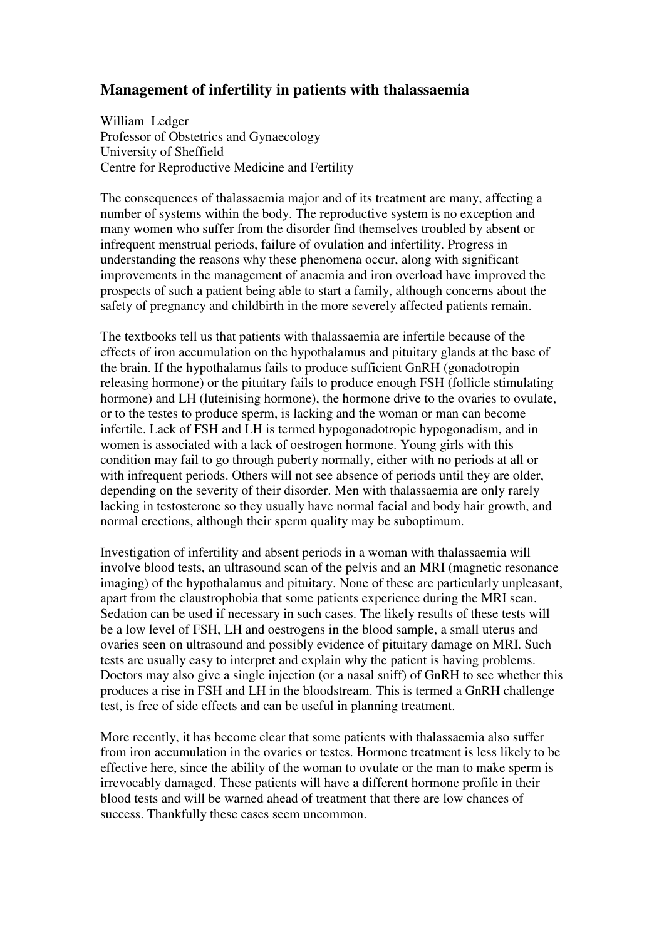## **Management of infertility in patients with thalassaemia**

William Ledger Professor of Obstetrics and Gynaecology University of Sheffield Centre for Reproductive Medicine and Fertility

The consequences of thalassaemia major and of its treatment are many, affecting a number of systems within the body. The reproductive system is no exception and many women who suffer from the disorder find themselves troubled by absent or infrequent menstrual periods, failure of ovulation and infertility. Progress in understanding the reasons why these phenomena occur, along with significant improvements in the management of anaemia and iron overload have improved the prospects of such a patient being able to start a family, although concerns about the safety of pregnancy and childbirth in the more severely affected patients remain.

The textbooks tell us that patients with thalassaemia are infertile because of the effects of iron accumulation on the hypothalamus and pituitary glands at the base of the brain. If the hypothalamus fails to produce sufficient GnRH (gonadotropin releasing hormone) or the pituitary fails to produce enough FSH (follicle stimulating hormone) and LH (luteinising hormone), the hormone drive to the ovaries to ovulate, or to the testes to produce sperm, is lacking and the woman or man can become infertile. Lack of FSH and LH is termed hypogonadotropic hypogonadism, and in women is associated with a lack of oestrogen hormone. Young girls with this condition may fail to go through puberty normally, either with no periods at all or with infrequent periods. Others will not see absence of periods until they are older, depending on the severity of their disorder. Men with thalassaemia are only rarely lacking in testosterone so they usually have normal facial and body hair growth, and normal erections, although their sperm quality may be suboptimum.

Investigation of infertility and absent periods in a woman with thalassaemia will involve blood tests, an ultrasound scan of the pelvis and an MRI (magnetic resonance imaging) of the hypothalamus and pituitary. None of these are particularly unpleasant, apart from the claustrophobia that some patients experience during the MRI scan. Sedation can be used if necessary in such cases. The likely results of these tests will be a low level of FSH, LH and oestrogens in the blood sample, a small uterus and ovaries seen on ultrasound and possibly evidence of pituitary damage on MRI. Such tests are usually easy to interpret and explain why the patient is having problems. Doctors may also give a single injection (or a nasal sniff) of GnRH to see whether this produces a rise in FSH and LH in the bloodstream. This is termed a GnRH challenge test, is free of side effects and can be useful in planning treatment.

More recently, it has become clear that some patients with thalassaemia also suffer from iron accumulation in the ovaries or testes. Hormone treatment is less likely to be effective here, since the ability of the woman to ovulate or the man to make sperm is irrevocably damaged. These patients will have a different hormone profile in their blood tests and will be warned ahead of treatment that there are low chances of success. Thankfully these cases seem uncommon.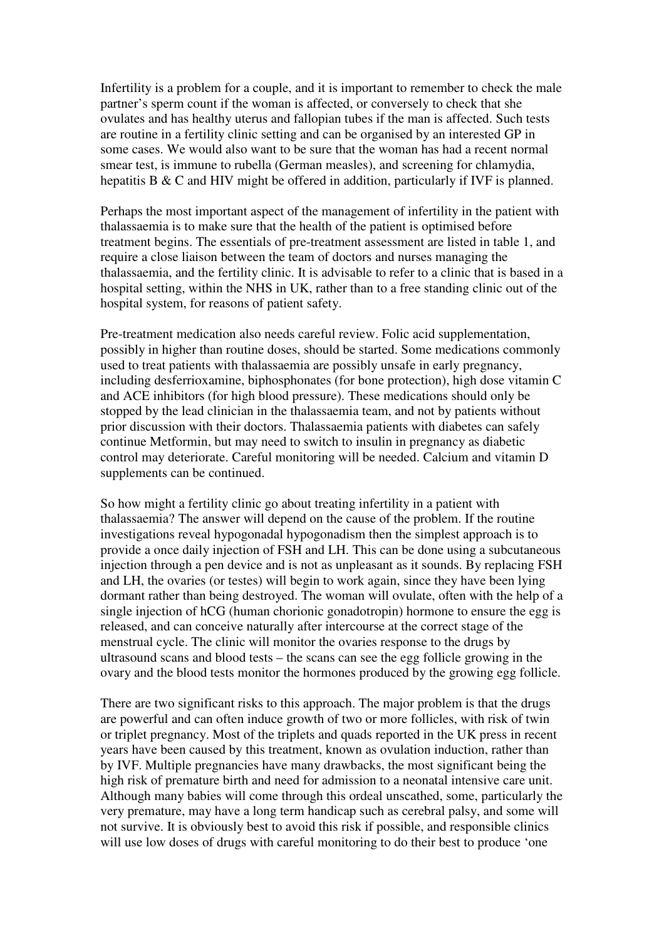Infertility is a problem for a couple, and it is important to remember to check the male partner's sperm count if the woman is affected, or conversely to check that she ovulates and has healthy uterus and fallopian tubes if the man is affected. Such tests are routine in a fertility clinic setting and can be organised by an interested GP in some cases. We would also want to be sure that the woman has had a recent normal smear test, is immune to rubella (German measles), and screening for chlamydia, hepatitis B & C and HIV might be offered in addition, particularly if IVF is planned.

Perhaps the most important aspect of the management of infertility in the patient with thalassaemia is to make sure that the health of the patient is optimised before treatment begins. The essentials of pre-treatment assessment are listed in table 1, and require a close liaison between the team of doctors and nurses managing the thalassaemia, and the fertility clinic. It is advisable to refer to a clinic that is based in a hospital setting, within the NHS in UK, rather than to a free standing clinic out of the hospital system, for reasons of patient safety.

Pre-treatment medication also needs careful review. Folic acid supplementation, possibly in higher than routine doses, should be started. Some medications commonly used to treat patients with thalassaemia are possibly unsafe in early pregnancy, including desferrioxamine, biphosphonates (for bone protection), high dose vitamin C and ACE inhibitors (for high blood pressure). These medications should only be stopped by the lead clinician in the thalassaemia team, and not by patients without prior discussion with their doctors. Thalassaemia patients with diabetes can safely continue Metformin, but may need to switch to insulin in pregnancy as diabetic control may deteriorate. Careful monitoring will be needed. Calcium and vitamin D supplements can be continued.

So how might a fertility clinic go about treating infertility in a patient with thalassaemia? The answer will depend on the cause of the problem. If the routine investigations reveal hypogonadal hypogonadism then the simplest approach is to provide a once daily injection of FSH and LH. This can be done using a subcutaneous injection through a pen device and is not as unpleasant as it sounds. By replacing FSH and LH, the ovaries (or testes) will begin to work again, since they have been lying dormant rather than being destroyed. The woman will ovulate, often with the help of a single injection of hCG (human chorionic gonadotropin) hormone to ensure the egg is released, and can conceive naturally after intercourse at the correct stage of the menstrual cycle. The clinic will monitor the ovaries response to the drugs by ultrasound scans and blood tests – the scans can see the egg follicle growing in the ovary and the blood tests monitor the hormones produced by the growing egg follicle.

There are two significant risks to this approach. The major problem is that the drugs are powerful and can often induce growth of two or more follicles, with risk of twin or triplet pregnancy. Most of the triplets and quads reported in the UK press in recent years have been caused by this treatment, known as ovulation induction, rather than by IVF. Multiple pregnancies have many drawbacks, the most significant being the high risk of premature birth and need for admission to a neonatal intensive care unit. Although many babies will come through this ordeal unscathed, some, particularly the very premature, may have a long term handicap such as cerebral palsy, and some will not survive. It is obviously best to avoid this risk if possible, and responsible clinics will use low doses of drugs with careful monitoring to do their best to produce 'one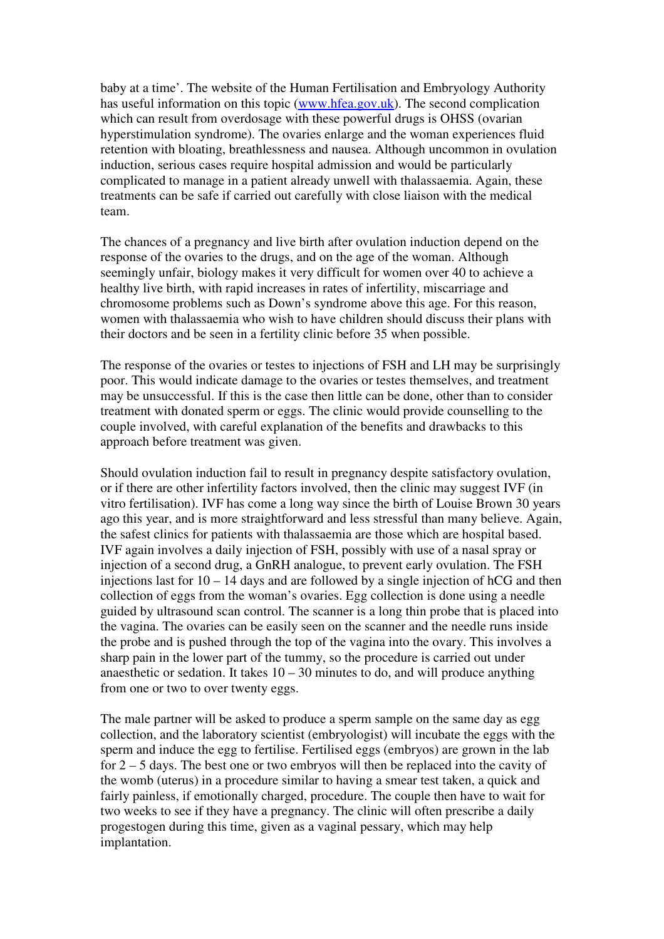baby at a time'. The website of the Human Fertilisation and Embryology Authority has useful information on this topic (www.hfea.gov.uk). The second complication which can result from overdosage with these powerful drugs is OHSS (ovarian hyperstimulation syndrome). The ovaries enlarge and the woman experiences fluid retention with bloating, breathlessness and nausea. Although uncommon in ovulation induction, serious cases require hospital admission and would be particularly complicated to manage in a patient already unwell with thalassaemia. Again, these treatments can be safe if carried out carefully with close liaison with the medical team.

The chances of a pregnancy and live birth after ovulation induction depend on the response of the ovaries to the drugs, and on the age of the woman. Although seemingly unfair, biology makes it very difficult for women over 40 to achieve a healthy live birth, with rapid increases in rates of infertility, miscarriage and chromosome problems such as Down's syndrome above this age. For this reason, women with thalassaemia who wish to have children should discuss their plans with their doctors and be seen in a fertility clinic before 35 when possible.

The response of the ovaries or testes to injections of FSH and LH may be surprisingly poor. This would indicate damage to the ovaries or testes themselves, and treatment may be unsuccessful. If this is the case then little can be done, other than to consider treatment with donated sperm or eggs. The clinic would provide counselling to the couple involved, with careful explanation of the benefits and drawbacks to this approach before treatment was given.

Should ovulation induction fail to result in pregnancy despite satisfactory ovulation, or if there are other infertility factors involved, then the clinic may suggest IVF (in vitro fertilisation). IVF has come a long way since the birth of Louise Brown 30 years ago this year, and is more straightforward and less stressful than many believe. Again, the safest clinics for patients with thalassaemia are those which are hospital based. IVF again involves a daily injection of FSH, possibly with use of a nasal spray or injection of a second drug, a GnRH analogue, to prevent early ovulation. The FSH injections last for 10 – 14 days and are followed by a single injection of hCG and then collection of eggs from the woman's ovaries. Egg collection is done using a needle guided by ultrasound scan control. The scanner is a long thin probe that is placed into the vagina. The ovaries can be easily seen on the scanner and the needle runs inside the probe and is pushed through the top of the vagina into the ovary. This involves a sharp pain in the lower part of the tummy, so the procedure is carried out under anaesthetic or sedation. It takes  $10 - 30$  minutes to do, and will produce anything from one or two to over twenty eggs.

The male partner will be asked to produce a sperm sample on the same day as egg collection, and the laboratory scientist (embryologist) will incubate the eggs with the sperm and induce the egg to fertilise. Fertilised eggs (embryos) are grown in the lab for 2 – 5 days. The best one or two embryos will then be replaced into the cavity of the womb (uterus) in a procedure similar to having a smear test taken, a quick and fairly painless, if emotionally charged, procedure. The couple then have to wait for two weeks to see if they have a pregnancy. The clinic will often prescribe a daily progestogen during this time, given as a vaginal pessary, which may help implantation.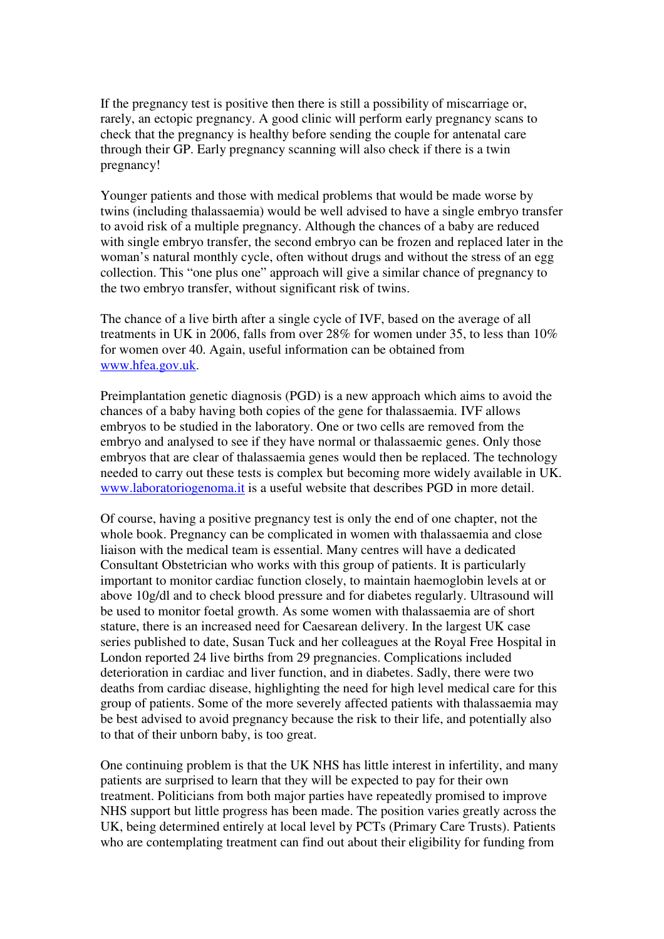If the pregnancy test is positive then there is still a possibility of miscarriage or, rarely, an ectopic pregnancy. A good clinic will perform early pregnancy scans to check that the pregnancy is healthy before sending the couple for antenatal care through their GP. Early pregnancy scanning will also check if there is a twin pregnancy!

Younger patients and those with medical problems that would be made worse by twins (including thalassaemia) would be well advised to have a single embryo transfer to avoid risk of a multiple pregnancy. Although the chances of a baby are reduced with single embryo transfer, the second embryo can be frozen and replaced later in the woman's natural monthly cycle, often without drugs and without the stress of an egg collection. This "one plus one" approach will give a similar chance of pregnancy to the two embryo transfer, without significant risk of twins.

The chance of a live birth after a single cycle of IVF, based on the average of all treatments in UK in 2006, falls from over 28% for women under 35, to less than 10% for women over 40. Again, useful information can be obtained from www.hfea.gov.uk.

Preimplantation genetic diagnosis (PGD) is a new approach which aims to avoid the chances of a baby having both copies of the gene for thalassaemia. IVF allows embryos to be studied in the laboratory. One or two cells are removed from the embryo and analysed to see if they have normal or thalassaemic genes. Only those embryos that are clear of thalassaemia genes would then be replaced. The technology needed to carry out these tests is complex but becoming more widely available in UK. www.laboratoriogenoma.it is a useful website that describes PGD in more detail.

Of course, having a positive pregnancy test is only the end of one chapter, not the whole book. Pregnancy can be complicated in women with thalassaemia and close liaison with the medical team is essential. Many centres will have a dedicated Consultant Obstetrician who works with this group of patients. It is particularly important to monitor cardiac function closely, to maintain haemoglobin levels at or above 10g/dl and to check blood pressure and for diabetes regularly. Ultrasound will be used to monitor foetal growth. As some women with thalassaemia are of short stature, there is an increased need for Caesarean delivery. In the largest UK case series published to date, Susan Tuck and her colleagues at the Royal Free Hospital in London reported 24 live births from 29 pregnancies. Complications included deterioration in cardiac and liver function, and in diabetes. Sadly, there were two deaths from cardiac disease, highlighting the need for high level medical care for this group of patients. Some of the more severely affected patients with thalassaemia may be best advised to avoid pregnancy because the risk to their life, and potentially also to that of their unborn baby, is too great.

One continuing problem is that the UK NHS has little interest in infertility, and many patients are surprised to learn that they will be expected to pay for their own treatment. Politicians from both major parties have repeatedly promised to improve NHS support but little progress has been made. The position varies greatly across the UK, being determined entirely at local level by PCTs (Primary Care Trusts). Patients who are contemplating treatment can find out about their eligibility for funding from